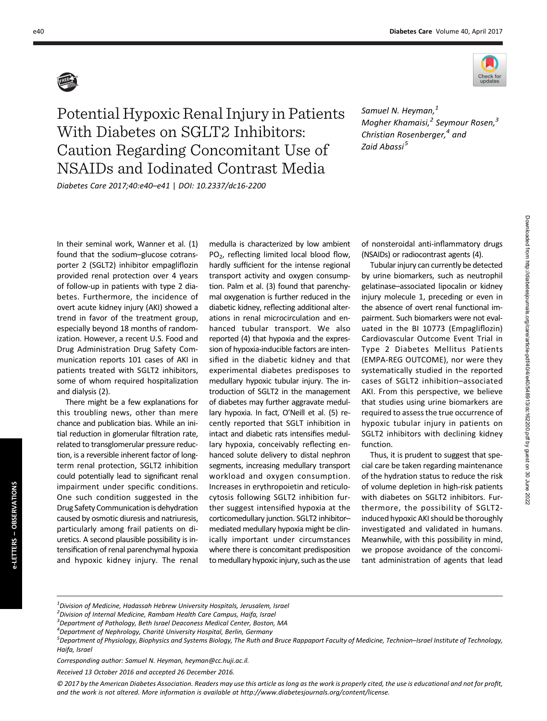

Potential Hypoxic Renal Injury in Patients With Diabetes on SGLT2 Inhibitors: Caution Regarding Concomitant Use of NSAIDs and Iodinated Contrast Media

Diabetes Care 2017;40:e40–e41 | DOI: 10.2337/dc16-2200

Samuel N. Heyman,<sup>1</sup> Mogher Khamaisi,<sup>2</sup> Seymour Rosen,<sup>3</sup> Christian Rosenberger, $4$  and Zaid Abassi<sup>5</sup>

In their seminal work, Wanner et al. (1) found that the sodium–glucose cotransporter 2 (SGLT2) inhibitor empagliflozin provided renal protection over 4 years of follow-up in patients with type 2 diabetes. Furthermore, the incidence of overt acute kidney injury (AKI) showed a trend in favor of the treatment group, especially beyond 18 months of randomization. However, a recent U.S. Food and Drug Administration Drug Safety Communication reports 101 cases of AKI in patients treated with SGLT2 inhibitors, some of whom required hospitalization and dialysis (2).

There might be a few explanations for this troubling news, other than mere chance and publication bias. While an initial reduction in glomerular filtration rate, related to transglomerular pressure reduction, is a reversible inherent factor of longterm renal protection, SGLT2 inhibition could potentially lead to significant renal impairment under specific conditions. One such condition suggested in the Drug Safety Communication is dehydration caused by osmotic diuresis and natriuresis, particularly among frail patients on diuretics. A second plausible possibility is intensification of renal parenchymal hypoxia and hypoxic kidney injury. The renal

e-LETTERS – OBSERVATIONS

e-LETTERS - OBSERVATIONS

medulla is characterized by low ambient PO<sub>2</sub>, reflecting limited local blood flow, hardly sufficient for the intense regional transport activity and oxygen consumption. Palm et al. (3) found that parenchymal oxygenation is further reduced in the diabetic kidney, reflecting additional alterations in renal microcirculation and enhanced tubular transport. We also reported (4) that hypoxia and the expression of hypoxia-inducible factors are intensified in the diabetic kidney and that experimental diabetes predisposes to medullary hypoxic tubular injury. The introduction of SGLT2 in the management of diabetes may further aggravate medullary hypoxia. In fact, O'Neill et al. (5) recently reported that SGLT inhibition in intact and diabetic rats intensifies medullary hypoxia, conceivably reflecting enhanced solute delivery to distal nephron segments, increasing medullary transport workload and oxygen consumption. Increases in erythropoietin and reticulocytosis following SGLT2 inhibition further suggest intensified hypoxia at the corticomedullary junction. SGLT2 inhibitor– mediated medullary hypoxia might be clinically important under circumstances where there is concomitant predisposition to medullary hypoxic injury, such as the use of nonsteroidal anti-inflammatory drugs (NSAIDs) or radiocontrast agents (4).

Tubular injury can currently be detected by urine biomarkers, such as neutrophil gelatinase–associated lipocalin or kidney injury molecule 1, preceding or even in the absence of overt renal functional impairment. Such biomarkers were not evaluated in the BI 10773 (Empagliflozin) Cardiovascular Outcome Event Trial in Type 2 Diabetes Mellitus Patients (EMPA-REG OUTCOME), nor were they systematically studied in the reported cases of SGLT2 inhibition–associated AKI. From this perspective, we believe that studies using urine biomarkers are required to assess the true occurrence of hypoxic tubular injury in patients on SGLT2 inhibitors with declining kidney function.

Thus, it is prudent to suggest that special care be taken regarding maintenance of the hydration status to reduce the risk of volume depletion in high-risk patients with diabetes on SGLT2 inhibitors. Furthermore, the possibility of SGLT2 induced hypoxic AKI should be thoroughly investigated and validated in humans. Meanwhile, with this possibility in mind, we propose avoidance of the concomitant administration of agents that lead

 $^{1}$ Division of Medicine, Hadassah Hebrew University Hospitals, Jerusalem, Israel

 $^{2}$ Division of Internal Medicine, Rambam Health Care Campus, Haifa, Israel

<sup>&</sup>lt;sup>3</sup> Department of Pathology, Beth Israel Deaconess Medical Center, Boston, MA

<sup>&</sup>lt;sup>4</sup> Department of Nephrology, Charité University Hospital, Berlin, Germany<br><sup>5</sup> Department of Physiology, Biophysics and Systems Biology, The Buth and

 $^5$ Department of Physiology, Biophysics and Systems Biology, The Ruth and Bruce Rappaport Faculty of Medicine, Technion–Israel Institute of Technology, Haifa, Israel

Corresponding author: Samuel N. Heyman, [heyman@cc.huji.ac.il.](mailto:heyman@cc.huji.ac.il)

Received 13 October 2016 and accepted 26 December 2016.

<sup>© 2017</sup> by the American Diabetes Association. Readers may use this article as long as the work is properly cited, the use is educational and not for profit, and the work is not altered. More information is available at [http://www.diabetesjournals.org/content/license.](http://www.diabetesjournals.org/content/license)